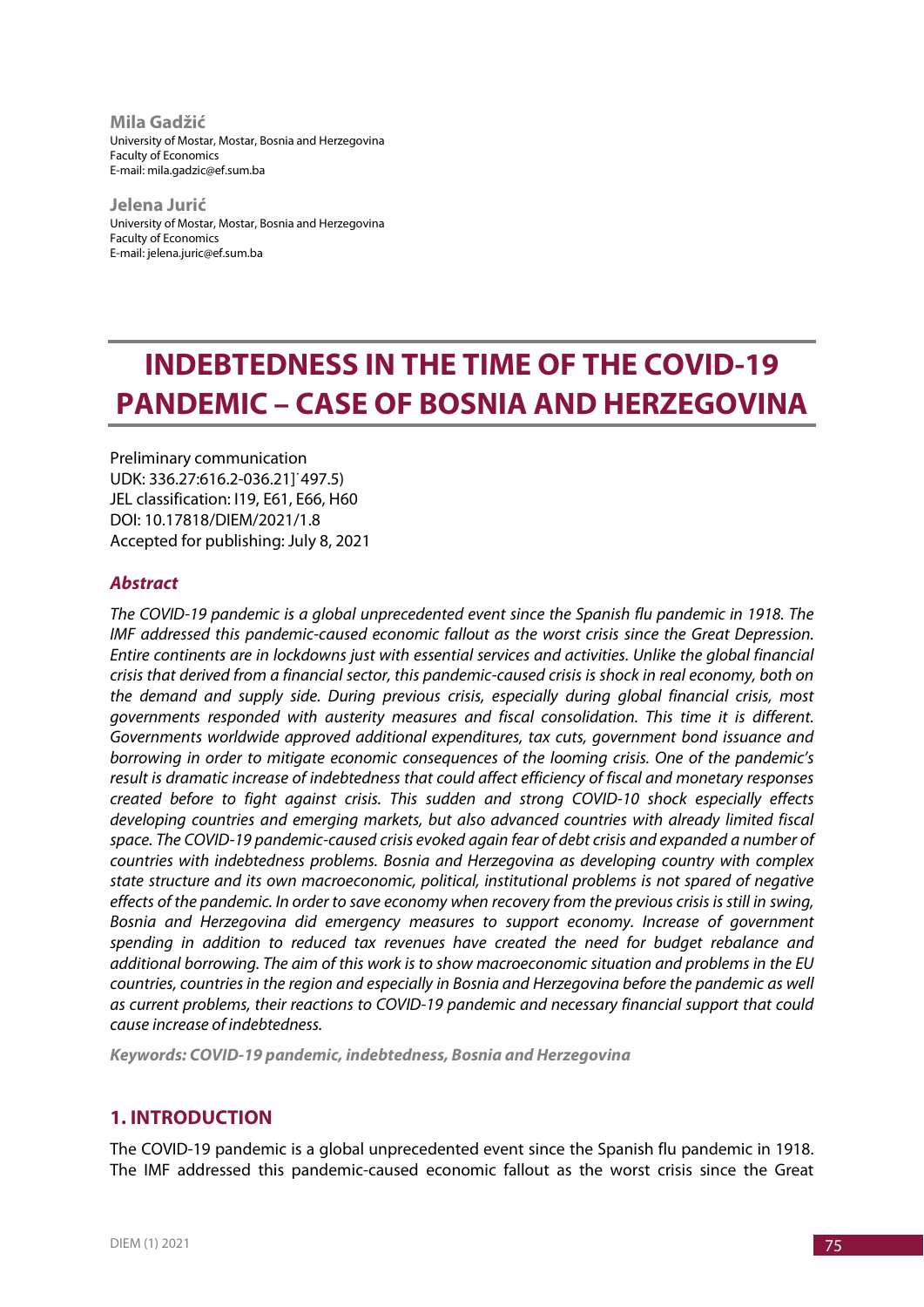**Mila Gadžić** University of Mostar, Mostar, Bosnia and Herzegovina Faculty of Economics E-mail: mila.gadzic@ef.sum.ba

**Jelena Jurić** University of Mostar, Mostar, Bosnia and Herzegovina Faculty of Economics E-mail: jelena.juric@ef.sum.ba

# **INDEBTEDNESS IN THE TIME OF THE COVID-19 PANDEMIC – CASE OF BOSNIA AND HERZEGOVINA**

Preliminary communication UDK: 336.27:616.2-036.21]˙497.5) JEL classification: I19, E61, E66, H60 DOI: 10.17818/DIEM/2021/1.8 Accepted for publishing: July 8, 2021

## *Abstract*

*The COVID-19 pandemic is a global unprecedented event since the Spanish flu pandemic in 1918. The IMF addressed this pandemic-caused economic fallout as the worst crisis since the Great Depression. Entire continents are in lockdowns just with essential services and activities. Unlike the global financial crisis that derived from a financial sector, this pandemic-caused crisis is shock in real economy, both on the demand and supply side. During previous crisis, especially during global financial crisis, most governments responded with austerity measures and fiscal consolidation. This time it is different. Governments worldwide approved additional expenditures, tax cuts, government bond issuance and borrowing in order to mitigate economic consequences of the looming crisis. One of the pandemic's result is dramatic increase of indebtedness that could affect efficiency of fiscal and monetary responses created before to fight against crisis. This sudden and strong COVID-10 shock especially effects developing countries and emerging markets, but also advanced countries with already limited fiscal space. The COVID-19 pandemic-caused crisis evoked again fear of debt crisis and expanded a number of countries with indebtedness problems. Bosnia and Herzegovina as developing country with complex state structure and its own macroeconomic, political, institutional problems is not spared of negative effects of the pandemic. In order to save economy when recovery from the previous crisis is still in swing, Bosnia and Herzegovina did emergency measures to support economy. Increase of government spending in addition to reduced tax revenues have created the need for budget rebalance and additional borrowing. The aim of this work is to show macroeconomic situation and problems in the EU countries, countries in the region and especially in Bosnia and Herzegovina before the pandemic as well as current problems, their reactions to COVID-19 pandemic and necessary financial support that could cause increase of indebtedness.*

*Keywords: COVID-19 pandemic, indebtedness, Bosnia and Herzegovina*

# **1. INTRODUCTION**

The COVID-19 pandemic is a global unprecedented event since the Spanish flu pandemic in 1918. The IMF addressed this pandemic-caused economic fallout as the worst crisis since the Great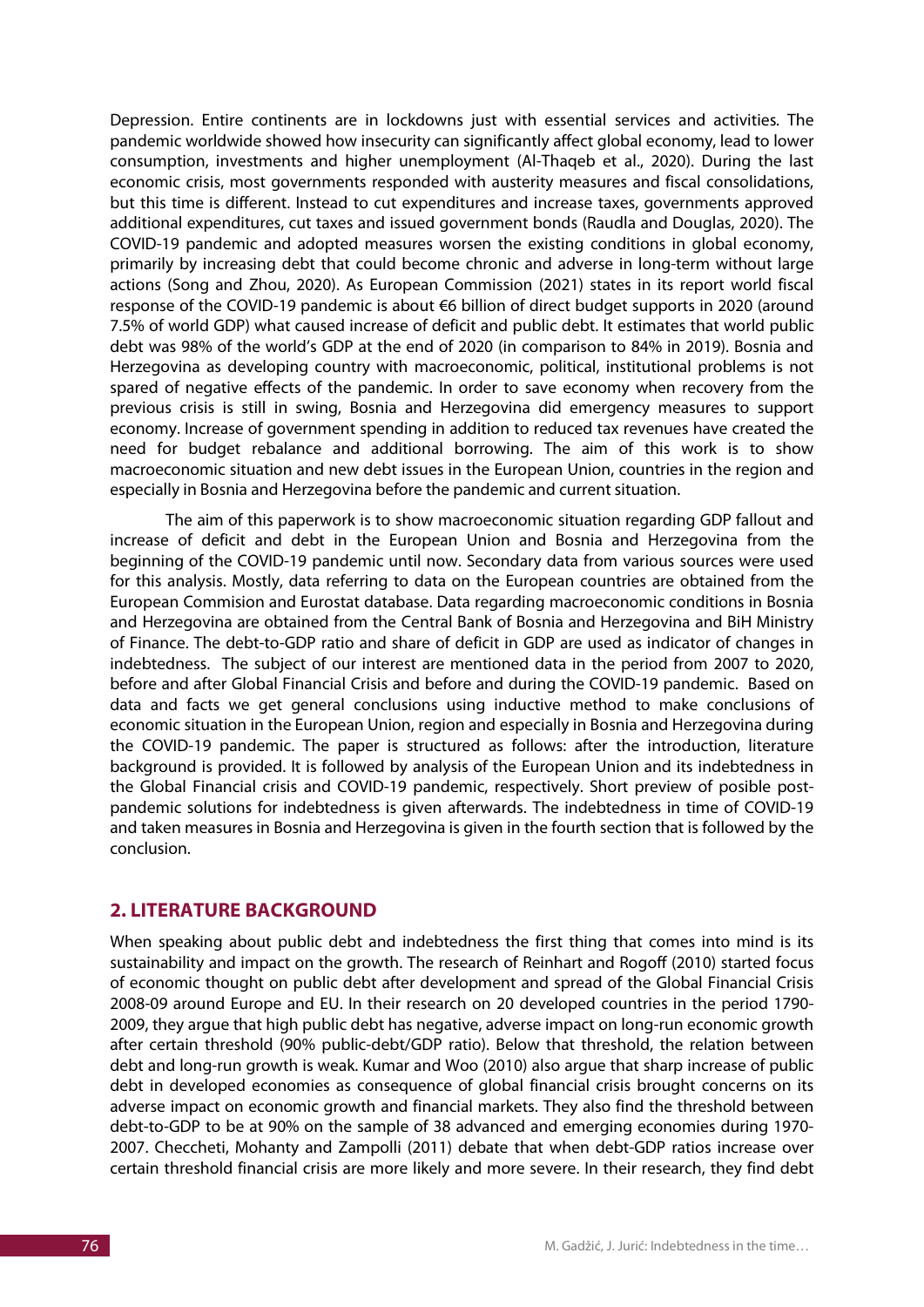Depression. Entire continents are in lockdowns just with essential services and activities*.* The pandemic worldwide showed how insecurity can significantly affect global economy, lead to lower consumption, investments and higher unemployment (Al-Thaqeb et al., 2020). During the last economic crisis, most governments responded with austerity measures and fiscal consolidations, but this time is different. Instead to cut expenditures and increase taxes, governments approved additional expenditures, cut taxes and issued government bonds (Raudla and Douglas, 2020). The COVID-19 pandemic and adopted measures worsen the existing conditions in global economy, primarily by increasing debt that could become chronic and adverse in long-term without large actions (Song and Zhou, 2020). As European Commission (2021) states in its report world fiscal response of the COVID-19 pandemic is about €6 billion of direct budget supports in 2020 (around 7.5% of world GDP) what caused increase of deficit and public debt. It estimates that world public debt was 98% of the world's GDP at the end of 2020 (in comparison to 84% in 2019). Bosnia and Herzegovina as developing country with macroeconomic, political, institutional problems is not spared of negative effects of the pandemic. In order to save economy when recovery from the previous crisis is still in swing, Bosnia and Herzegovina did emergency measures to support economy. Increase of government spending in addition to reduced tax revenues have created the need for budget rebalance and additional borrowing. The aim of this work is to show macroeconomic situation and new debt issues in the European Union, countries in the region and especially in Bosnia and Herzegovina before the pandemic and current situation.

The aim of this paperwork is to show macroeconomic situation regarding GDP fallout and increase of deficit and debt in the European Union and Bosnia and Herzegovina from the beginning of the COVID-19 pandemic until now. Secondary data from various sources were used for this analysis. Mostly, data referring to data on the European countries are obtained from the European Commision and Eurostat database. Data regarding macroeconomic conditions in Bosnia and Herzegovina are obtained from the Central Bank of Bosnia and Herzegovina and BiH Ministry of Finance. The debt-to-GDP ratio and share of deficit in GDP are used as indicator of changes in indebtedness. The subject of our interest are mentioned data in the period from 2007 to 2020, before and after Global Financial Crisis and before and during the COVID-19 pandemic. Based on data and facts we get general conclusions using inductive method to make conclusions of economic situation in the European Union, region and especially in Bosnia and Herzegovina during the COVID-19 pandemic. The paper is structured as follows: after the introduction, literature background is provided. It is followed by analysis of the European Union and its indebtedness in the Global Financial crisis and COVID-19 pandemic, respectively. Short preview of posible postpandemic solutions for indebtedness is given afterwards. The indebtedness in time of COVID-19 and taken measures in Bosnia and Herzegovina is given in the fourth section that is followed by the conclusion.

## **2. LITERATURE BACKGROUND**

When speaking about public debt and indebtedness the first thing that comes into mind is its sustainability and impact on the growth. The research of Reinhart and Rogoff (2010) started focus of economic thought on public debt after development and spread of the Global Financial Crisis 2008-09 around Europe and EU. In their research on 20 developed countries in the period 1790- 2009, they argue that high public debt has negative, adverse impact on long-run economic growth after certain threshold (90% public-debt/GDP ratio). Below that threshold, the relation between debt and long-run growth is weak. Kumar and Woo (2010) also argue that sharp increase of public debt in developed economies as consequence of global financial crisis brought concerns on its adverse impact on economic growth and financial markets. They also find the threshold between debt-to-GDP to be at 90% on the sample of 38 advanced and emerging economies during 1970- 2007. Checcheti, Mohanty and Zampolli (2011) debate that when debt-GDP ratios increase over certain threshold financial crisis are more likely and more severe. In their research, they find debt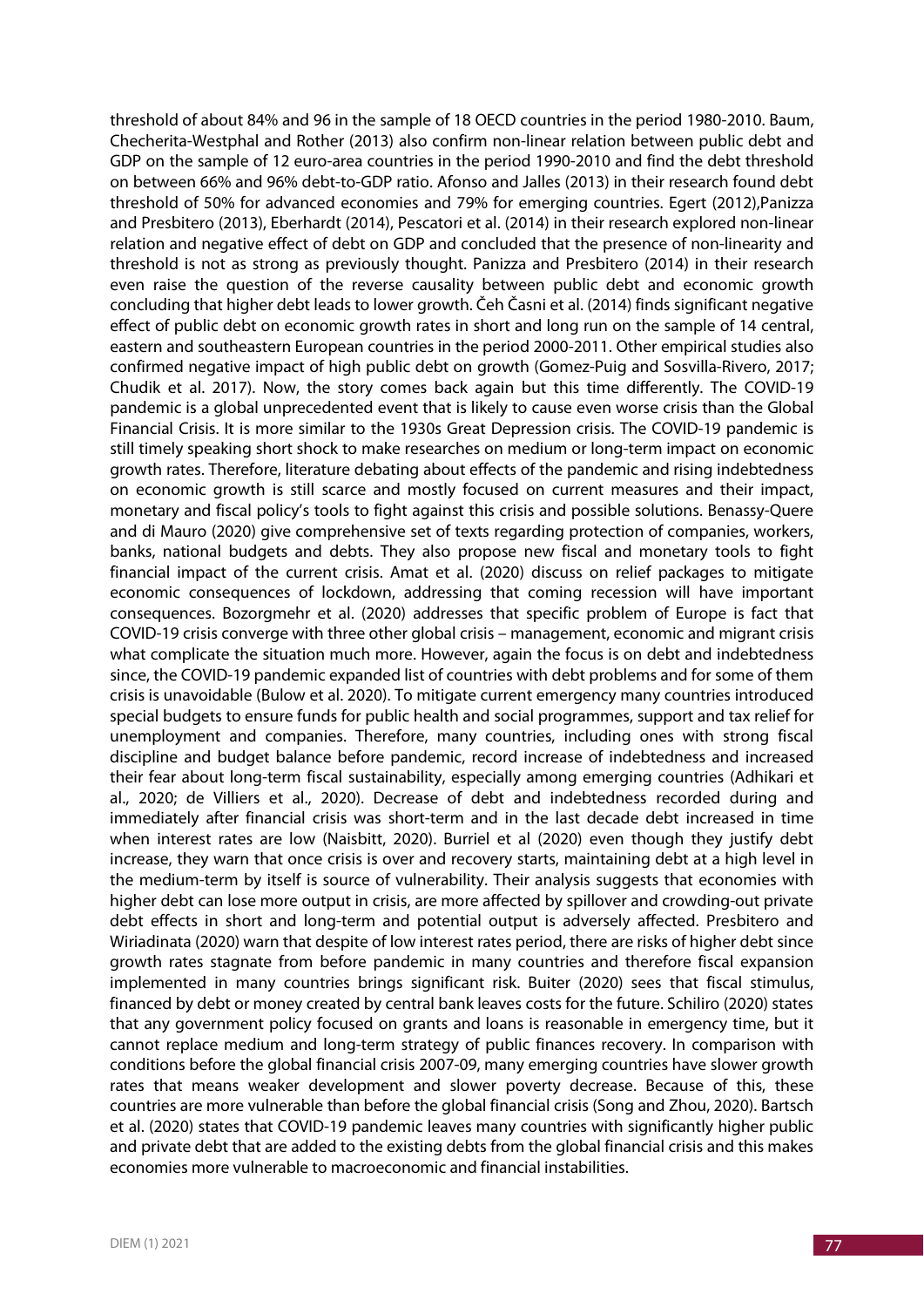threshold of about 84% and 96 in the sample of 18 OECD countries in the period 1980-2010. Baum, Checherita-Westphal and Rother (2013) also confirm non-linear relation between public debt and GDP on the sample of 12 euro-area countries in the period 1990-2010 and find the debt threshold on between 66% and 96% debt-to-GDP ratio. Afonso and Jalles (2013) in their research found debt threshold of 50% for advanced economies and 79% for emerging countries. Egert (2012),Panizza and Presbitero (2013), Eberhardt (2014), Pescatori et al. (2014) in their research explored non-linear relation and negative effect of debt on GDP and concluded that the presence of non-linearity and threshold is not as strong as previously thought. Panizza and Presbitero (2014) in their research even raise the question of the reverse causality between public debt and economic growth concluding that higher debt leads to lower growth. Čeh Časni et al. (2014) finds significant negative effect of public debt on economic growth rates in short and long run on the sample of 14 central, eastern and southeastern European countries in the period 2000-2011. Other empirical studies also confirmed negative impact of high public debt on growth (Gomez-Puig and Sosvilla-Rivero, 2017; Chudik et al. 2017). Now, the story comes back again but this time differently. The COVID-19 pandemic is a global unprecedented event that is likely to cause even worse crisis than the Global Financial Crisis. It is more similar to the 1930s Great Depression crisis. The COVID-19 pandemic is still timely speaking short shock to make researches on medium or long-term impact on economic growth rates. Therefore, literature debating about effects of the pandemic and rising indebtedness on economic growth is still scarce and mostly focused on current measures and their impact, monetary and fiscal policy's tools to fight against this crisis and possible solutions. Benassy-Quere and di Mauro (2020) give comprehensive set of texts regarding protection of companies, workers, banks, national budgets and debts. They also propose new fiscal and monetary tools to fight financial impact of the current crisis. Amat et al. (2020) discuss on relief packages to mitigate economic consequences of lockdown, addressing that coming recession will have important consequences. Bozorgmehr et al. (2020) addresses that specific problem of Europe is fact that COVID-19 crisis converge with three other global crisis – management, economic and migrant crisis what complicate the situation much more. However, again the focus is on debt and indebtedness since, the COVID-19 pandemic expanded list of countries with debt problems and for some of them crisis is unavoidable (Bulow et al. 2020). To mitigate current emergency many countries introduced special budgets to ensure funds for public health and social programmes, support and tax relief for unemployment and companies. Therefore, many countries, including ones with strong fiscal discipline and budget balance before pandemic, record increase of indebtedness and increased their fear about long-term fiscal sustainability, especially among emerging countries (Adhikari et al., 2020; de Villiers et al., 2020). Decrease of debt and indebtedness recorded during and immediately after financial crisis was short-term and in the last decade debt increased in time when interest rates are low (Naisbitt, 2020). Burriel et al (2020) even though they justify debt increase, they warn that once crisis is over and recovery starts, maintaining debt at a high level in the medium-term by itself is source of vulnerability. Their analysis suggests that economies with higher debt can lose more output in crisis, are more affected by spillover and crowding-out private debt effects in short and long-term and potential output is adversely affected. Presbitero and Wiriadinata (2020) warn that despite of low interest rates period, there are risks of higher debt since growth rates stagnate from before pandemic in many countries and therefore fiscal expansion implemented in many countries brings significant risk. Buiter (2020) sees that fiscal stimulus, financed by debt or money created by central bank leaves costs for the future. Schiliro (2020) states that any government policy focused on grants and loans is reasonable in emergency time, but it cannot replace medium and long-term strategy of public finances recovery. In comparison with conditions before the global financial crisis 2007-09, many emerging countries have slower growth rates that means weaker development and slower poverty decrease. Because of this, these countries are more vulnerable than before the global financial crisis (Song and Zhou, 2020). Bartsch et al. (2020) states that COVID-19 pandemic leaves many countries with significantly higher public and private debt that are added to the existing debts from the global financial crisis and this makes economies more vulnerable to macroeconomic and financial instabilities.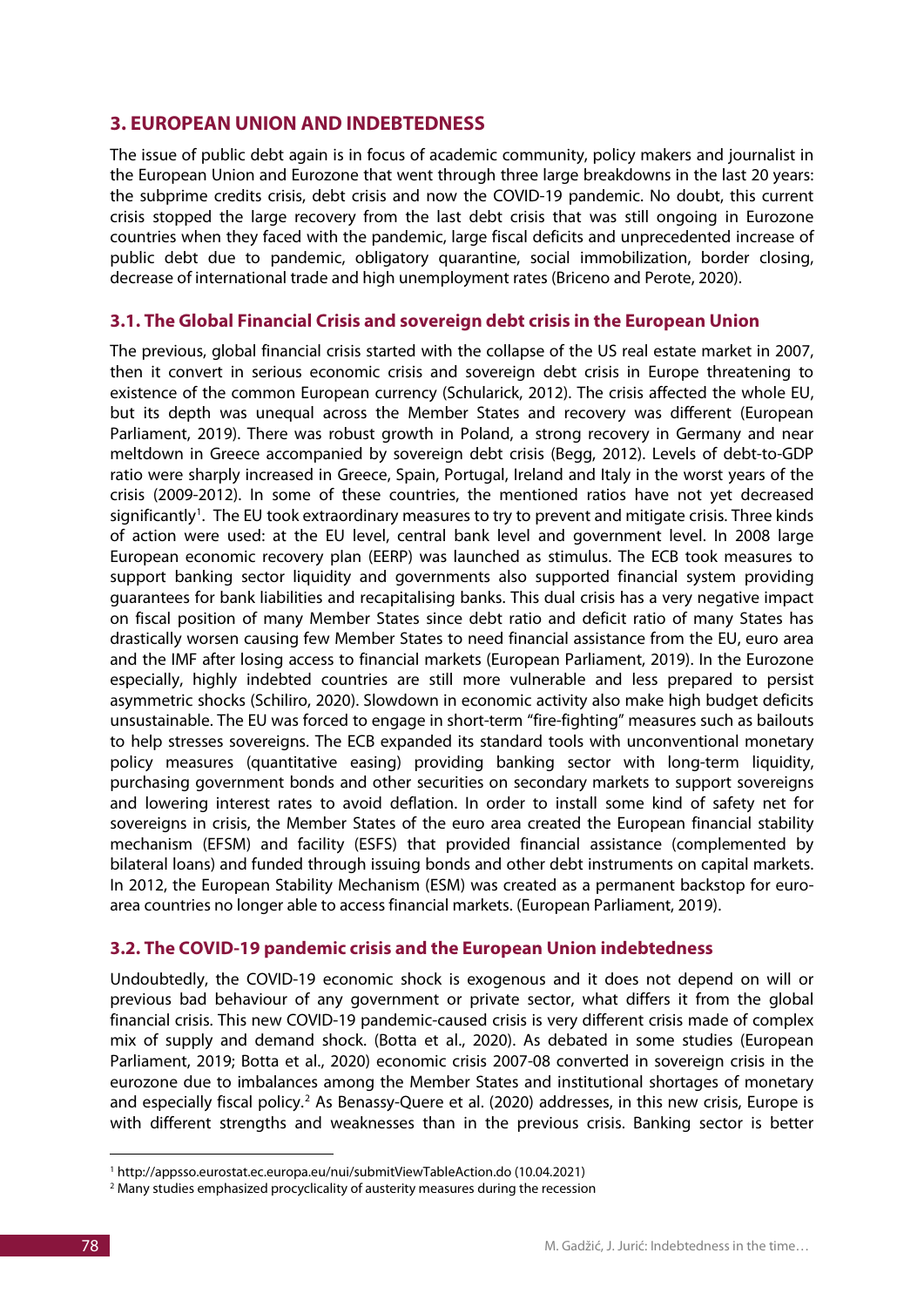## **3. EUROPEAN UNION AND INDEBTEDNESS**

The issue of public debt again is in focus of academic community, policy makers and journalist in the European Union and Eurozone that went through three large breakdowns in the last 20 years: the subprime credits crisis, debt crisis and now the COVID-19 pandemic. No doubt, this current crisis stopped the large recovery from the last debt crisis that was still ongoing in Eurozone countries when they faced with the pandemic, large fiscal deficits and unprecedented increase of public debt due to pandemic, obligatory quarantine, social immobilization, border closing, decrease of international trade and high unemployment rates (Briceno and Perote, 2020).

## **3.1. The Global Financial Crisis and sovereign debt crisis in the European Union**

The previous, global financial crisis started with the collapse of the US real estate market in 2007, then it convert in serious economic crisis and sovereign debt crisis in Europe threatening to existence of the common European currency (Schularick, 2012). The crisis affected the whole EU, but its depth was unequal across the Member States and recovery was different (European Parliament, 2019). There was robust growth in Poland, a strong recovery in Germany and near meltdown in Greece accompanied by sovereign debt crisis (Begg, 2012). Levels of debt-to-GDP ratio were sharply increased in Greece, Spain, Portugal, Ireland and Italy in the worst years of the crisis (2009-2012). In some of these countries, the mentioned ratios have not yet decreased significantly<sup>[1](#page-3-0)</sup>. The EU took extraordinary measures to try to prevent and mitigate crisis. Three kinds of action were used: at the EU level, central bank level and government level. In 2008 large European economic recovery plan (EERP) was launched as stimulus. The ECB took measures to support banking sector liquidity and governments also supported financial system providing guarantees for bank liabilities and recapitalising banks. This dual crisis has a very negative impact on fiscal position of many Member States since debt ratio and deficit ratio of many States has drastically worsen causing few Member States to need financial assistance from the EU, euro area and the IMF after losing access to financial markets (European Parliament, 2019). In the Eurozone especially, highly indebted countries are still more vulnerable and less prepared to persist asymmetric shocks (Schiliro, 2020). Slowdown in economic activity also make high budget deficits unsustainable. The EU was forced to engage in short-term "fire-fighting" measures such as bailouts to help stresses sovereigns. The ECB expanded its standard tools with unconventional monetary policy measures (quantitative easing) providing banking sector with long-term liquidity, purchasing government bonds and other securities on secondary markets to support sovereigns and lowering interest rates to avoid deflation. In order to install some kind of safety net for sovereigns in crisis, the Member States of the euro area created the European financial stability mechanism (EFSM) and facility (ESFS) that provided financial assistance (complemented by bilateral loans) and funded through issuing bonds and other debt instruments on capital markets. In 2012, the European Stability Mechanism (ESM) was created as a permanent backstop for euroarea countries no longer able to access financial markets. (European Parliament, 2019).

## **3.2. The COVID-19 pandemic crisis and the European Union indebtedness**

Undoubtedly, the COVID-19 economic shock is exogenous and it does not depend on will or previous bad behaviour of any government or private sector, what differs it from the global financial crisis. This new COVID-19 pandemic-caused crisis is very different crisis made of complex mix of supply and demand shock. (Botta et al., 2020). As debated in some studies (European Parliament, 2019; Botta et al., 2020) economic crisis 2007-08 converted in sovereign crisis in the eurozone due to imbalances among the Member States and institutional shortages of monetary and especially fiscal policy.<sup>[2](#page-3-1)</sup> As Benassy-Quere et al. (2020) addresses, in this new crisis, Europe is with different strengths and weaknesses than in the previous crisis. Banking sector is better

<sup>&</sup>lt;u>.</u> <sup>1</sup> http://appsso.eurostat.ec.europa.eu/nui/submitViewTableAction.do (10.04.2021)

<span id="page-3-1"></span><span id="page-3-0"></span><sup>&</sup>lt;sup>2</sup> Many studies emphasized procyclicality of austerity measures during the recession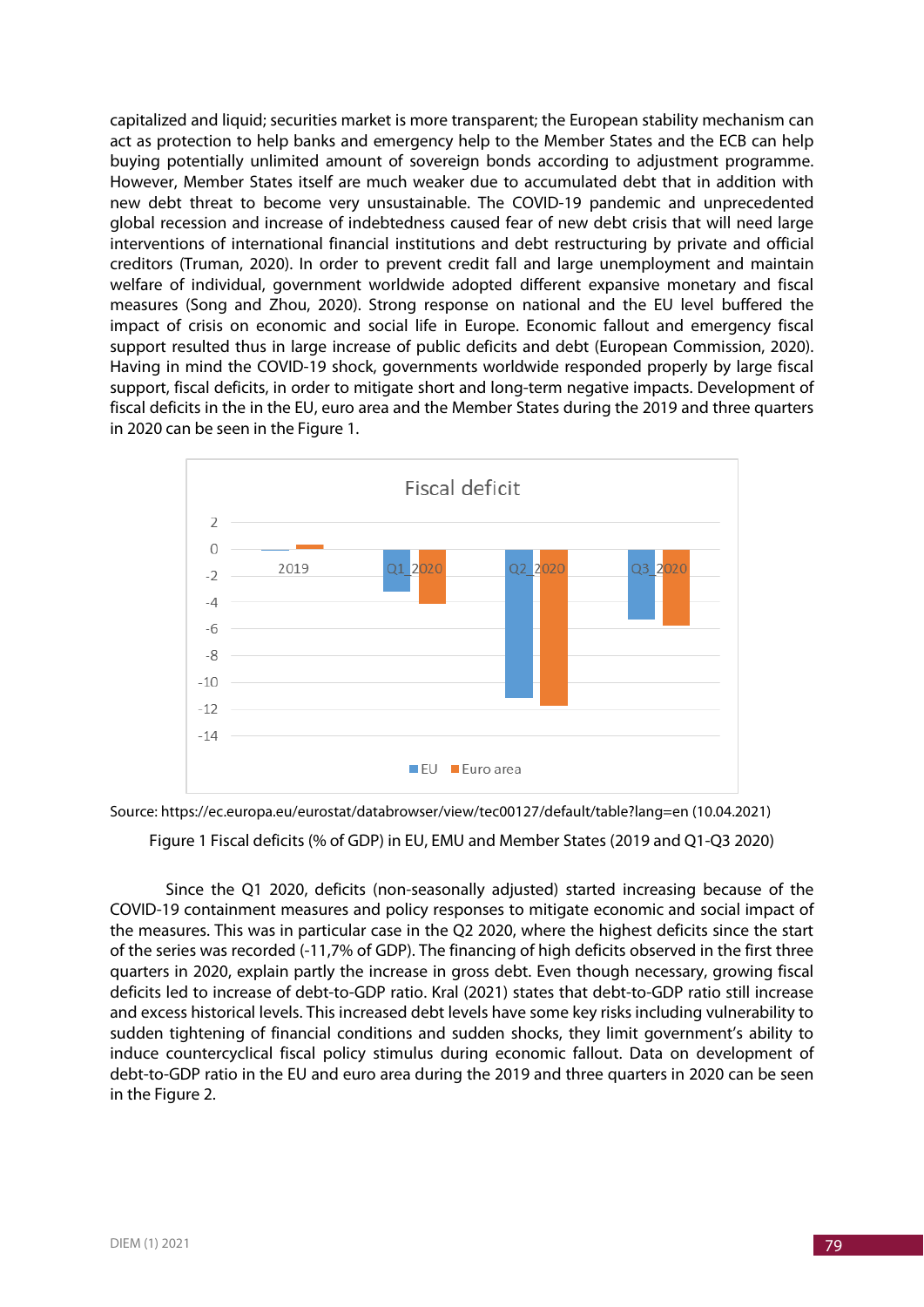capitalized and liquid; securities market is more transparent; the European stability mechanism can act as protection to help banks and emergency help to the Member States and the ECB can help buying potentially unlimited amount of sovereign bonds according to adjustment programme. However, Member States itself are much weaker due to accumulated debt that in addition with new debt threat to become very unsustainable. The COVID-19 pandemic and unprecedented global recession and increase of indebtedness caused fear of new debt crisis that will need large interventions of international financial institutions and debt restructuring by private and official creditors (Truman, 2020). In order to prevent credit fall and large unemployment and maintain welfare of individual, government worldwide adopted different expansive monetary and fiscal measures (Song and Zhou, 2020). Strong response on national and the EU level buffered the impact of crisis on economic and social life in Europe. Economic fallout and emergency fiscal support resulted thus in large increase of public deficits and debt (European Commission, 2020). Having in mind the COVID-19 shock, governments worldwide responded properly by large fiscal support, fiscal deficits, in order to mitigate short and long-term negative impacts. Development of fiscal deficits in the in the EU, euro area and the Member States during the 2019 and three quarters in 2020 can be seen in the Figure 1.



Source: https://ec.europa.eu/eurostat/databrowser/view/tec00127/default/table?lang=en (10.04.2021)

Figure 1 Fiscal deficits (% of GDP) in EU, EMU and Member States (2019 and Q1-Q3 2020)

Since the Q1 2020, deficits (non-seasonally adjusted) started increasing because of the COVID-19 containment measures and policy responses to mitigate economic and social impact of the measures. This was in particular case in the Q2 2020, where the highest deficits since the start of the series was recorded (-11,7% of GDP). The financing of high deficits observed in the first three quarters in 2020, explain partly the increase in gross debt. Even though necessary, growing fiscal deficits led to increase of debt-to-GDP ratio. Kral (2021) states that debt-to-GDP ratio still increase and excess historical levels. This increased debt levels have some key risks including vulnerability to sudden tightening of financial conditions and sudden shocks, they limit government's ability to induce countercyclical fiscal policy stimulus during economic fallout. Data on development of debt-to-GDP ratio in the EU and euro area during the 2019 and three quarters in 2020 can be seen in the Figure 2.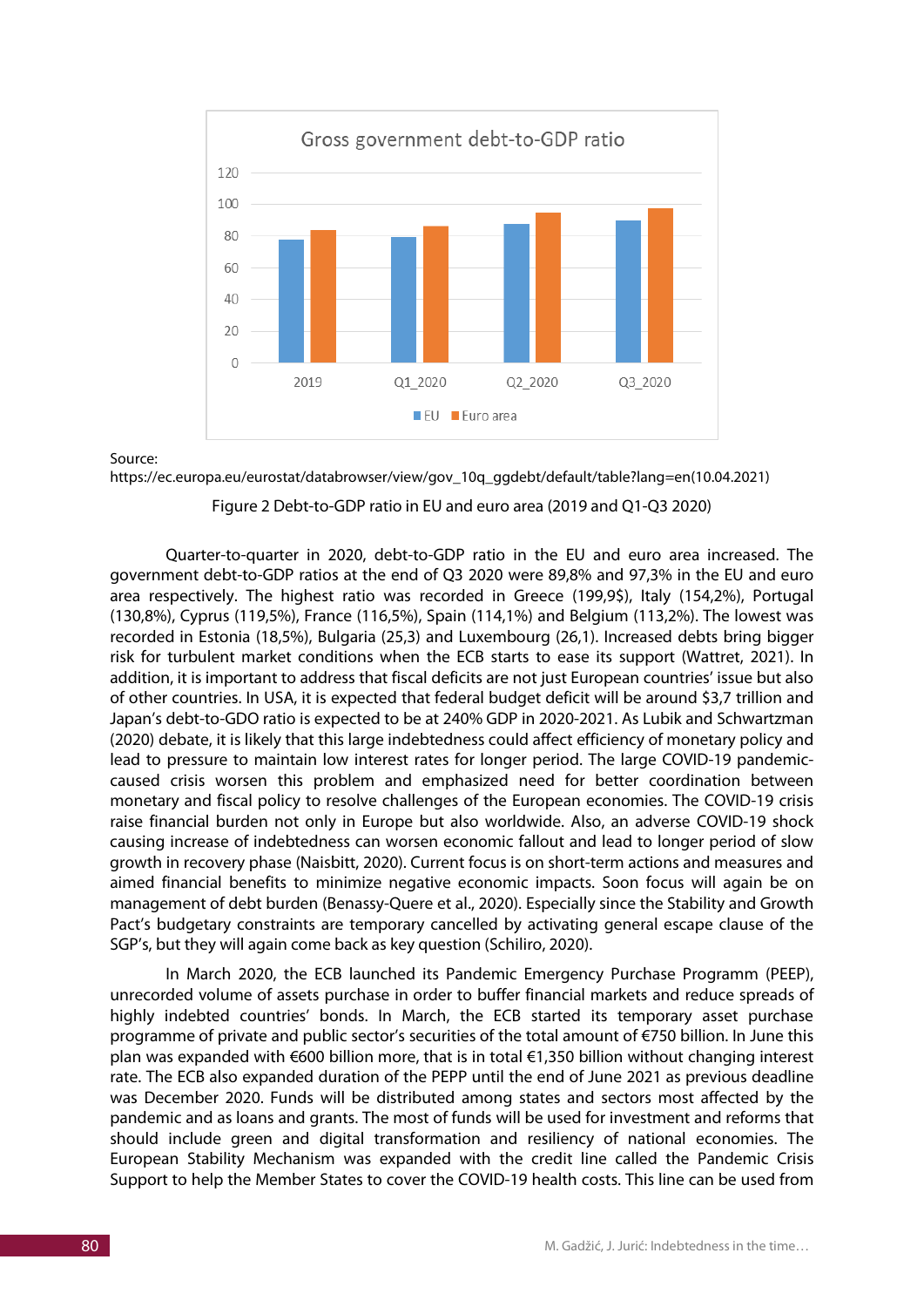

#### Source:

https://ec.europa.eu/eurostat/databrowser/view/gov\_10q\_ggdebt/default/table?lang=en(10.04.2021)

#### Figure 2 Debt-to-GDP ratio in EU and euro area (2019 and Q1-Q3 2020)

Quarter-to-quarter in 2020, debt-to-GDP ratio in the EU and euro area increased. The government debt-to-GDP ratios at the end of Q3 2020 were 89,8% and 97,3% in the EU and euro area respectively. The highest ratio was recorded in Greece (199,9\$), Italy (154,2%), Portugal (130,8%), Cyprus (119,5%), France (116,5%), Spain (114,1%) and Belgium (113,2%). The lowest was recorded in Estonia (18,5%), Bulgaria (25,3) and Luxembourg (26,1). Increased debts bring bigger risk for turbulent market conditions when the ECB starts to ease its support (Wattret, 2021). In addition, it is important to address that fiscal deficits are not just European countries' issue but also of other countries. In USA, it is expected that federal budget deficit will be around \$3,7 trillion and Japan's debt-to-GDO ratio is expected to be at 240% GDP in 2020-2021. As Lubik and Schwartzman (2020) debate, it is likely that this large indebtedness could affect efficiency of monetary policy and lead to pressure to maintain low interest rates for longer period. The large COVID-19 pandemiccaused crisis worsen this problem and emphasized need for better coordination between monetary and fiscal policy to resolve challenges of the European economies. The COVID-19 crisis raise financial burden not only in Europe but also worldwide. Also, an adverse COVID-19 shock causing increase of indebtedness can worsen economic fallout and lead to longer period of slow growth in recovery phase (Naisbitt, 2020). Current focus is on short-term actions and measures and aimed financial benefits to minimize negative economic impacts. Soon focus will again be on management of debt burden (Benassy-Quere et al., 2020). Especially since the Stability and Growth Pact's budgetary constraints are temporary cancelled by activating general escape clause of the SGP's, but they will again come back as key question (Schiliro, 2020).

In March 2020, the ECB launched its Pandemic Emergency Purchase Programm (PEEP), unrecorded volume of assets purchase in order to buffer financial markets and reduce spreads of highly indebted countries' bonds. In March, the ECB started its temporary asset purchase programme of private and public sector's securities of the total amount of €750 billion. In June this plan was expanded with €600 billion more, that is in total €1,350 billion without changing interest rate. The ECB also expanded duration of the PEPP until the end of June 2021 as previous deadline was December 2020. Funds will be distributed among states and sectors most affected by the pandemic and as loans and grants. The most of funds will be used for investment and reforms that should include green and digital transformation and resiliency of national economies. The European Stability Mechanism was expanded with the credit line called the Pandemic Crisis Support to help the Member States to cover the COVID-19 health costs. This line can be used from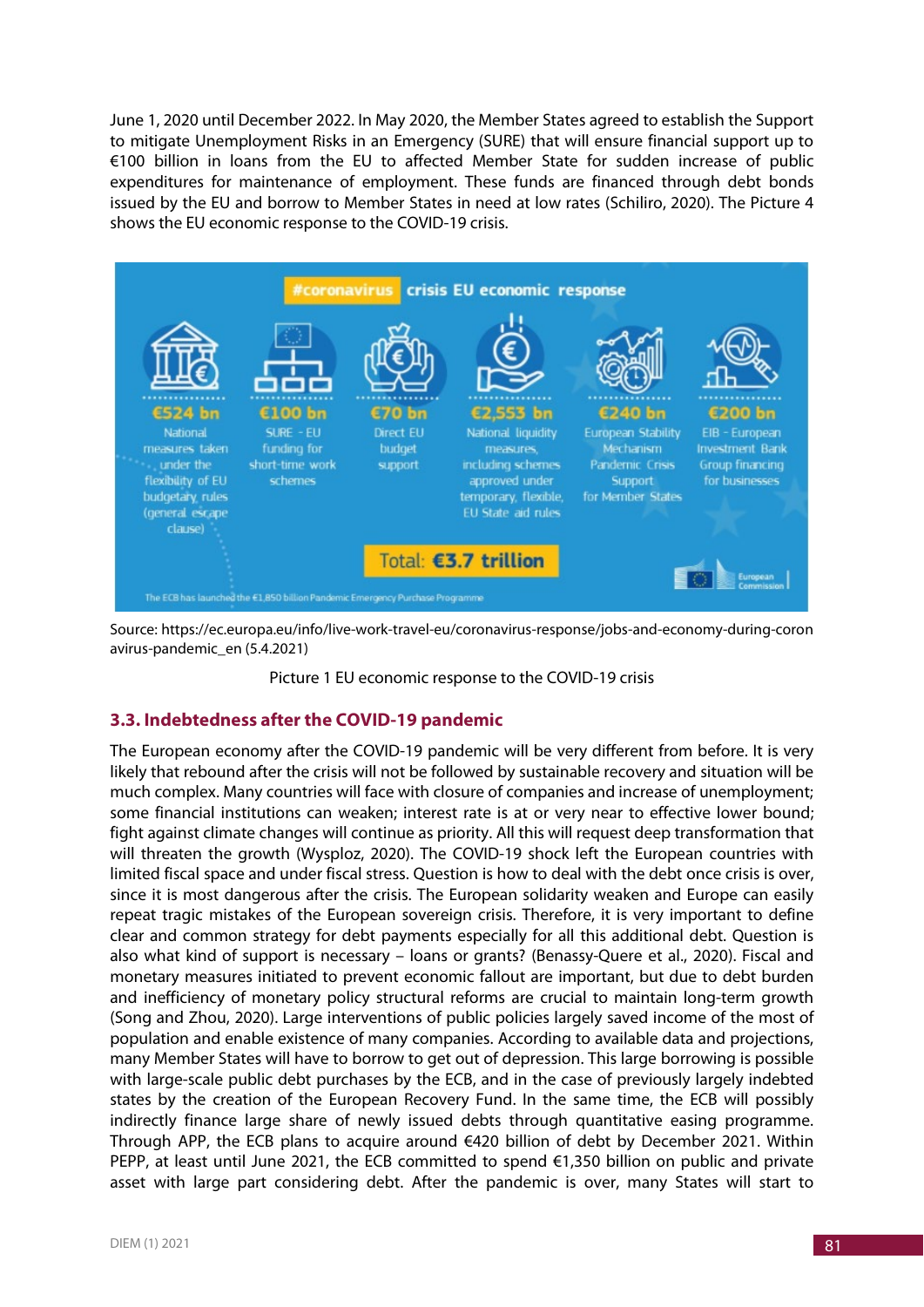June 1, 2020 until December 2022. In May 2020, the Member States agreed to establish the Support to mitigate Unemployment Risks in an Emergency (SURE) that will ensure financial support up to €100 billion in loans from the EU to affected Member State for sudden increase of public expenditures for maintenance of employment. These funds are financed through debt bonds issued by the EU and borrow to Member States in need at low rates (Schiliro, 2020). The Picture 4 shows the EU economic response to the COVID-19 crisis.



Source: https://ec.europa.eu/info/live-work-travel-eu/coronavirus-response/jobs-and-economy-during-coron avirus-pandemic\_en (5.4.2021)

Picture 1 EU economic response to the COVID-19 crisis

## **3.3. Indebtedness after the COVID-19 pandemic**

The European economy after the COVID-19 pandemic will be very different from before. It is very likely that rebound after the crisis will not be followed by sustainable recovery and situation will be much complex. Many countries will face with closure of companies and increase of unemployment; some financial institutions can weaken; interest rate is at or very near to effective lower bound; fight against climate changes will continue as priority. All this will request deep transformation that will threaten the growth (Wysploz, 2020). The COVID-19 shock left the European countries with limited fiscal space and under fiscal stress. Question is how to deal with the debt once crisis is over, since it is most dangerous after the crisis. The European solidarity weaken and Europe can easily repeat tragic mistakes of the European sovereign crisis. Therefore, it is very important to define clear and common strategy for debt payments especially for all this additional debt. Question is also what kind of support is necessary – loans or grants? (Benassy-Quere et al., 2020). Fiscal and monetary measures initiated to prevent economic fallout are important, but due to debt burden and inefficiency of monetary policy structural reforms are crucial to maintain long-term growth (Song and Zhou, 2020). Large interventions of public policies largely saved income of the most of population and enable existence of many companies. According to available data and projections, many Member States will have to borrow to get out of depression. This large borrowing is possible with large-scale public debt purchases by the ECB, and in the case of previously largely indebted states by the creation of the European Recovery Fund. In the same time, the ECB will possibly indirectly finance large share of newly issued debts through quantitative easing programme. Through APP, the ECB plans to acquire around €420 billion of debt by December 2021. Within PEPP, at least until June 2021, the ECB committed to spend  $\epsilon$ 1,350 billion on public and private asset with large part considering debt. After the pandemic is over, many States will start to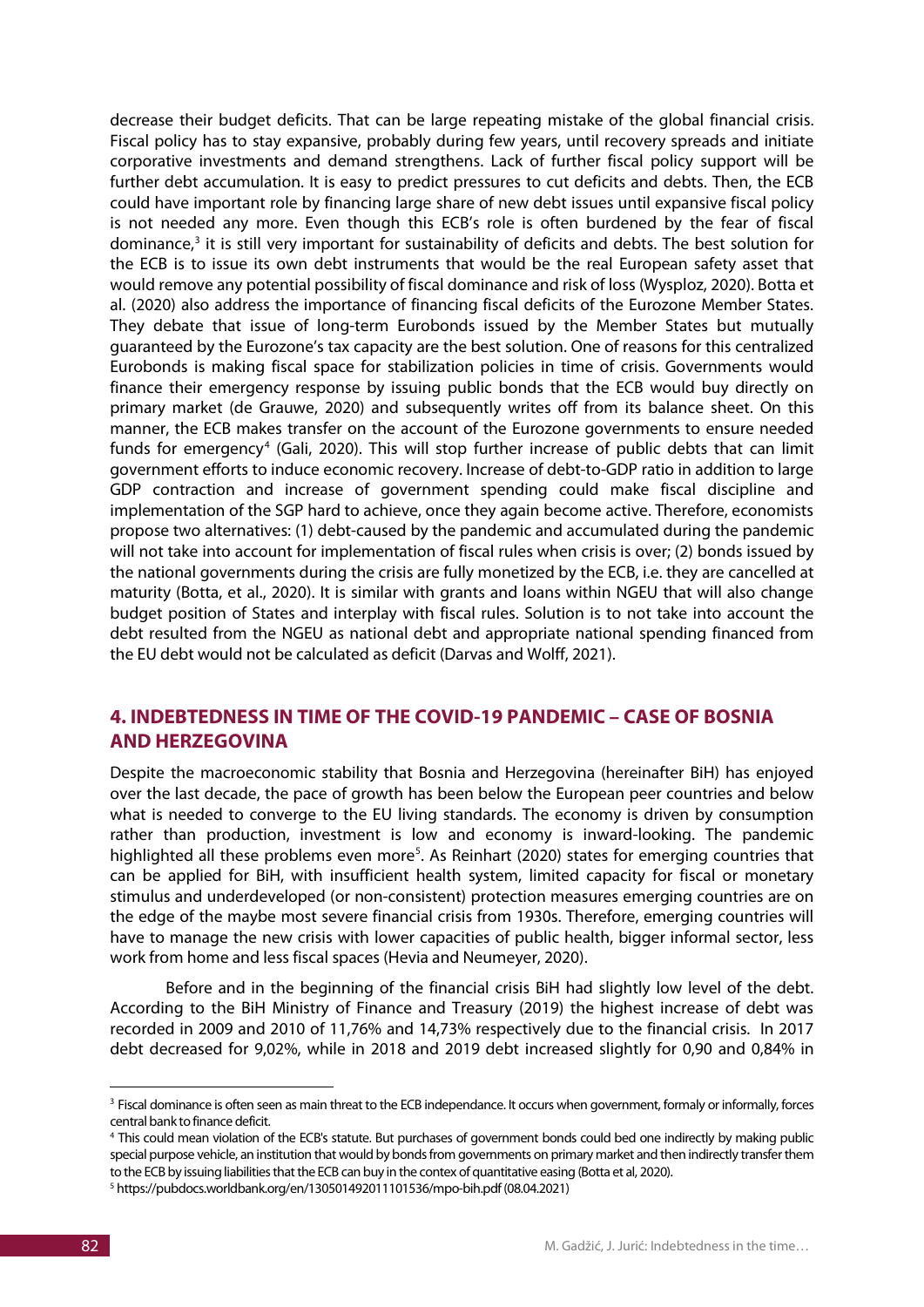decrease their budget deficits. That can be large repeating mistake of the global financial crisis. Fiscal policy has to stay expansive, probably during few years, until recovery spreads and initiate corporative investments and demand strengthens. Lack of further fiscal policy support will be further debt accumulation. It is easy to predict pressures to cut deficits and debts. Then, the ECB could have important role by financing large share of new debt issues until expansive fiscal policy is not needed any more. Even though this ECB's role is often burdened by the fear of fiscal dominance, $3$  it is still very important for sustainability of deficits and debts. The best solution for the ECB is to issue its own debt instruments that would be the real European safety asset that would remove any potential possibility of fiscal dominance and risk of loss (Wysploz, 2020). Botta et al. (2020) also address the importance of financing fiscal deficits of the Eurozone Member States. They debate that issue of long-term Eurobonds issued by the Member States but mutually guaranteed by the Eurozone's tax capacity are the best solution. One of reasons for this centralized Eurobonds is making fiscal space for stabilization policies in time of crisis. Governments would finance their emergency response by issuing public bonds that the ECB would buy directly on primary market (de Grauwe, 2020) and subsequently writes off from its balance sheet. On this manner, the ECB makes transfer on the account of the Eurozone governments to ensure needed funds for emergency<sup>[4](#page-7-1)</sup> (Gali, 2020). This will stop further increase of public debts that can limit government efforts to induce economic recovery. Increase of debt-to-GDP ratio in addition to large GDP contraction and increase of government spending could make fiscal discipline and implementation of the SGP hard to achieve, once they again become active. Therefore, economists propose two alternatives: (1) debt-caused by the pandemic and accumulated during the pandemic will not take into account for implementation of fiscal rules when crisis is over; (2) bonds issued by the national governments during the crisis are fully monetized by the ECB, i.e. they are cancelled at maturity (Botta, et al., 2020). It is similar with grants and loans within NGEU that will also change budget position of States and interplay with fiscal rules. Solution is to not take into account the debt resulted from the NGEU as national debt and appropriate national spending financed from the EU debt would not be calculated as deficit (Darvas and Wolff, 2021).

# **4. INDEBTEDNESS IN TIME OF THE COVID-19 PANDEMIC – CASE OF BOSNIA AND HERZEGOVINA**

Despite the macroeconomic stability that Bosnia and Herzegovina (hereinafter BiH) has enjoyed over the last decade, the pace of growth has been below the European peer countries and below what is needed to converge to the EU living standards. The economy is driven by consumption rather than production, investment is low and economy is inward-looking. The pandemic highlighted all these problems even more<sup>[5](#page-7-2)</sup>. As Reinhart (2020) states for emerging countries that can be applied for BiH, with insufficient health system, limited capacity for fiscal or monetary stimulus and underdeveloped (or non-consistent) protection measures emerging countries are on the edge of the maybe most severe financial crisis from 1930s. Therefore, emerging countries will have to manage the new crisis with lower capacities of public health, bigger informal sector, less work from home and less fiscal spaces (Hevia and Neumeyer, 2020).

Before and in the beginning of the financial crisis BiH had slightly low level of the debt. According to the BiH Ministry of Finance and Treasury (2019) the highest increase of debt was recorded in 2009 and 2010 of 11,76% and 14,73% respectively due to the financial crisis. In 2017 debt decreased for 9,02%, while in 2018 and 2019 debt increased slightly for 0,90 and 0,84% in

-

<span id="page-7-0"></span><sup>&</sup>lt;sup>3</sup> Fiscal dominance is often seen as main threat to the ECB independance. It occurs when government, formaly or informally, forces central bank to finance deficit.

<span id="page-7-1"></span><sup>&</sup>lt;sup>4</sup> This could mean violation of the ECB's statute. But purchases of government bonds could bed one indirectly by making public special purpose vehicle, an institution that would by bonds from governments on primary market and then indirectly transfer them to the ECB by issuing liabilities that the ECB can buy in the contex of quantitative easing (Botta et al, 2020).

<span id="page-7-2"></span><sup>5</sup> https://pubdocs.worldbank.org/en/130501492011101536/mpo-bih.pdf (08.04.2021)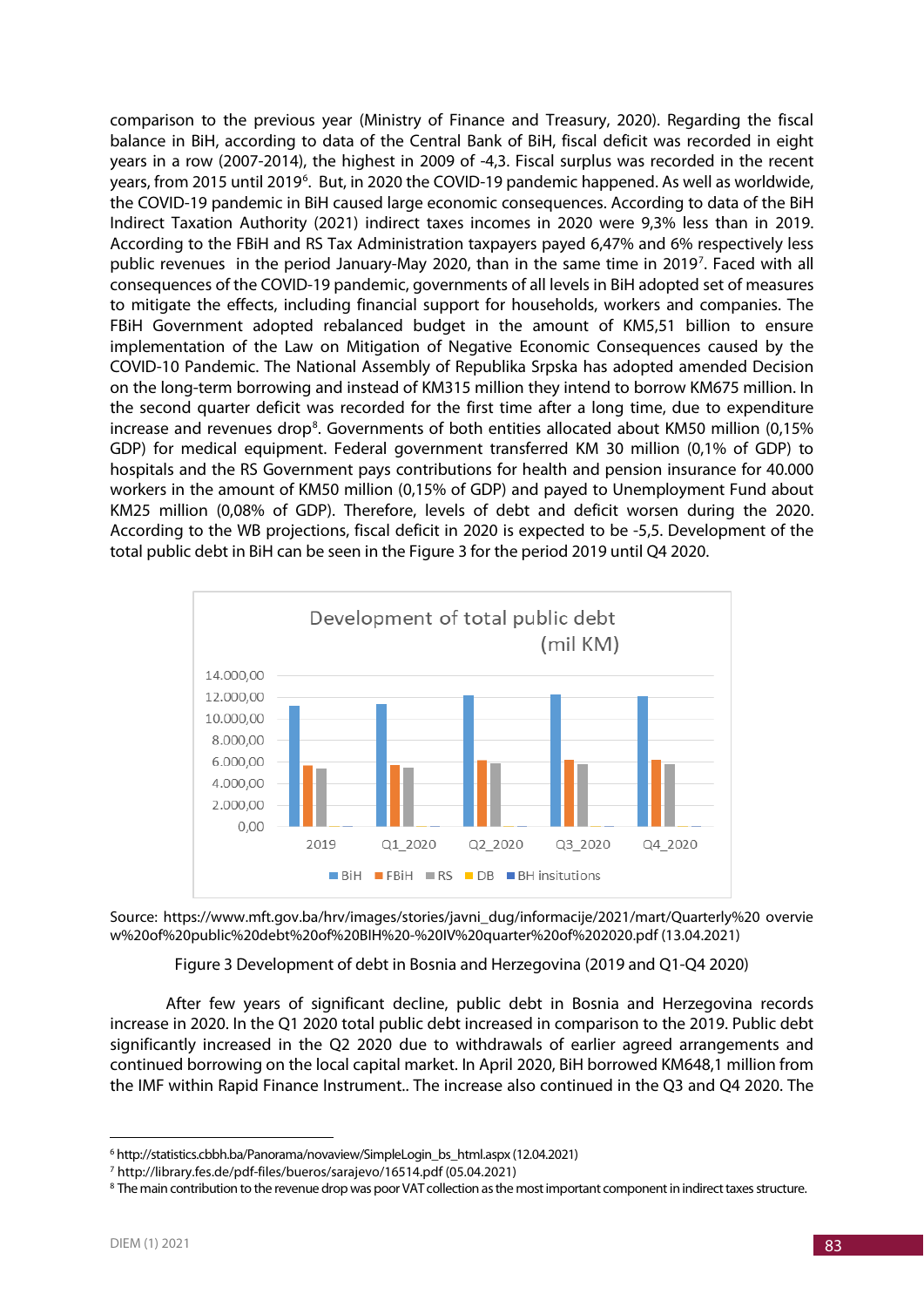comparison to the previous year (Ministry of Finance and Treasury, 2020). Regarding the fiscal balance in BiH, according to data of the Central Bank of BiH, fiscal deficit was recorded in eight years in a row (2007-2014), the highest in 2009 of -4,3. Fiscal surplus was recorded in the recent years, from 2015 until 2019<sup>[6](#page-8-0)</sup>. But, in 2020 the COVID-19 pandemic happened. As well as worldwide, the COVID-19 pandemic in BiH caused large economic consequences. According to data of the BiH Indirect Taxation Authority (2021) indirect taxes incomes in 2020 were 9,3% less than in 2019. According to the FBiH and RS Tax Administration taxpayers payed 6,47% and 6% respectively less public revenues in the period January-May 2020, than in the same time in 2019<sup>[7](#page-8-1)</sup>. Faced with all consequences of the COVID-19 pandemic, governments of all levels in BiH adopted set of measures to mitigate the effects, including financial support for households, workers and companies. The FBiH Government adopted rebalanced budget in the amount of KM5,51 billion to ensure implementation of the Law on Mitigation of Negative Economic Consequences caused by the COVID-10 Pandemic. The National Assembly of Republika Srpska has adopted amended Decision on the long-term borrowing and instead of KM315 million they intend to borrow KM675 million. In the second quarter deficit was recorded for the first time after a long time, due to expenditure increase and revenues drop<sup>8</sup>. Governments of both entities allocated about KM50 million (0,15% GDP) for medical equipment. Federal government transferred KM 30 million (0,1% of GDP) to hospitals and the RS Government pays contributions for health and pension insurance for 40.000 workers in the amount of KM50 million (0,15% of GDP) and payed to Unemployment Fund about KM25 million (0,08% of GDP). Therefore, levels of debt and deficit worsen during the 2020. According to the WB projections, fiscal deficit in 2020 is expected to be -5,5. Development of the total public debt in BiH can be seen in the Figure 3 for the period 2019 until Q4 2020.





Figure 3 Development of debt in Bosnia and Herzegovina (2019 and Q1-Q4 2020)

After few years of significant decline, public debt in Bosnia and Herzegovina records increase in 2020. In the Q1 2020 total public debt increased in comparison to the 2019. Public debt significantly increased in the Q2 2020 due to withdrawals of earlier agreed arrangements and continued borrowing on the local capital market. In April 2020, BiH borrowed KM648,1 million from the IMF within Rapid Finance Instrument.. The increase also continued in the Q3 and Q4 2020. The

<u>.</u>

<span id="page-8-0"></span><sup>&</sup>lt;sup>6</sup> http://statistics.cbbh.ba/Panorama/novaview/SimpleLogin\_bs\_html.aspx (12.04.2021)

<span id="page-8-1"></span><sup>7</sup> <http://library.fes.de/pdf-files/bueros/sarajevo/16514.pdf> (05.04.2021)

<span id="page-8-2"></span><sup>&</sup>lt;sup>8</sup> The main contribution to the revenue drop was poor VAT collection as the most important component in indirect taxes structure.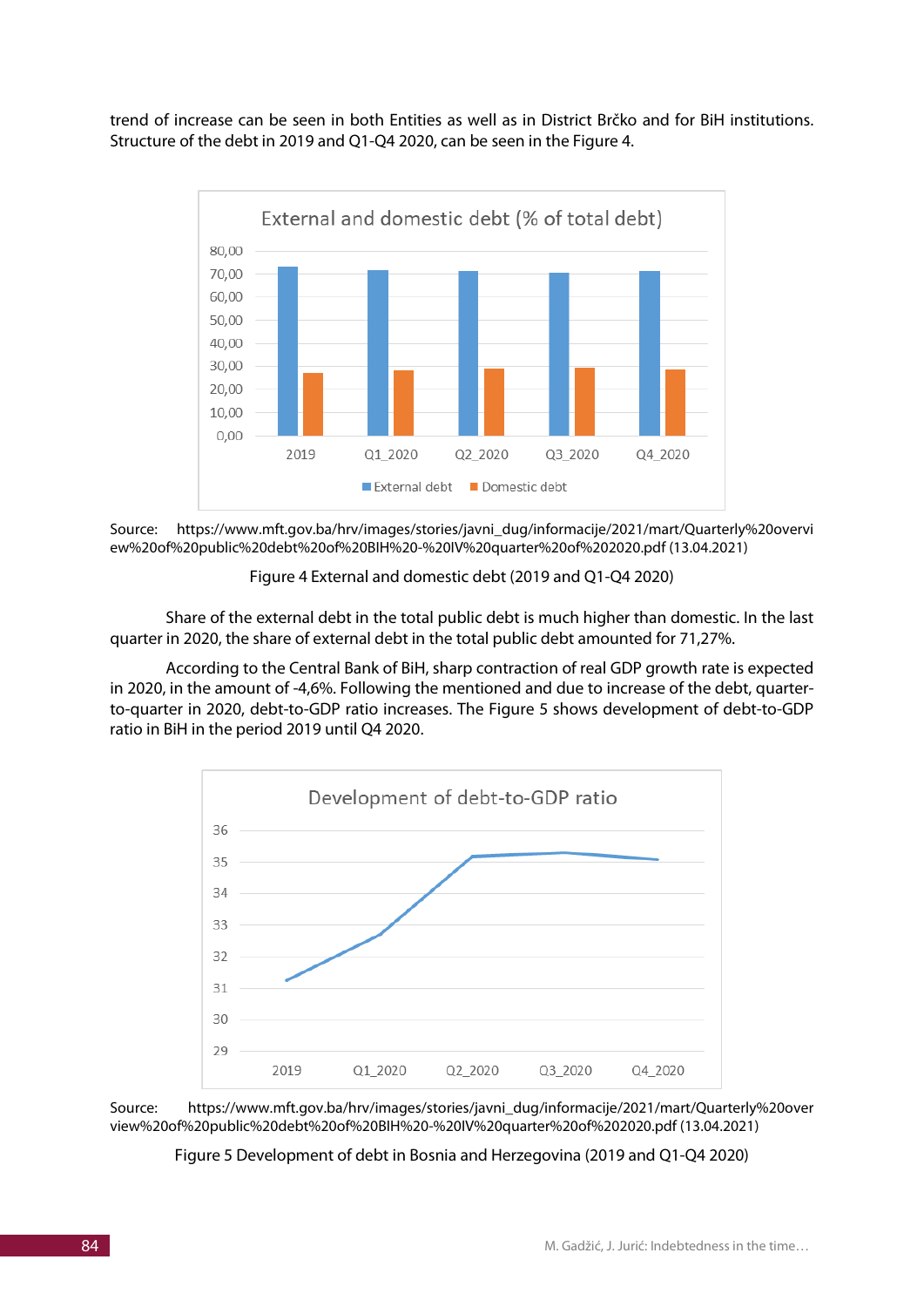trend of increase can be seen in both Entities as well as in District Brčko and for BiH institutions. Structure of the debt in 2019 and Q1-Q4 2020, can be seen in the Figure 4.



Source: https://www.mft.gov.ba/hrv/images/stories/javni\_dug/informacije/2021/mart/Quarterly%20overvi ew%20of%20public%20debt%20of%20BIH%20-%20IV%20quarter%20of%202020.pdf (13.04.2021)

## Figure 4 External and domestic debt (2019 and Q1-Q4 2020)

Share of the external debt in the total public debt is much higher than domestic. In the last quarter in 2020, the share of external debt in the total public debt amounted for 71,27%.

According to the Central Bank of BiH, sharp contraction of real GDP growth rate is expected in 2020, in the amount of -4,6%. Following the mentioned and due to increase of the debt, quarterto-quarter in 2020, debt-to-GDP ratio increases. The Figure 5 shows development of debt-to-GDP ratio in BiH in the period 2019 until Q4 2020.



Source: https://www.mft.gov.ba/hrv/images/stories/javni\_dug/informacije/2021/mart/Quarterly%20over view%20of%20public%20debt%20of%20BIH%20-%20IV%20quarter%20of%202020.pdf (13.04.2021)

Figure 5 Development of debt in Bosnia and Herzegovina (2019 and Q1-Q4 2020)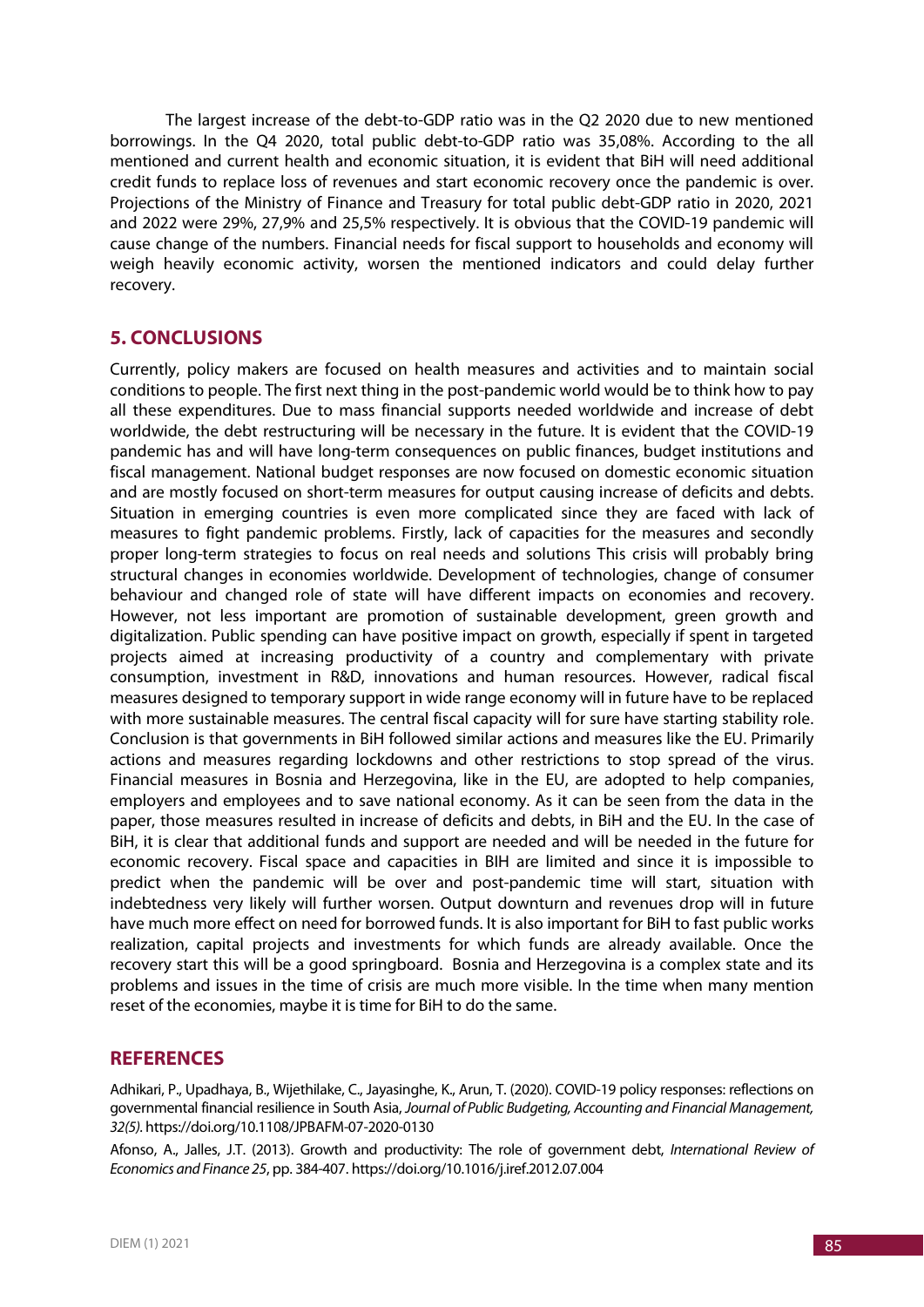The largest increase of the debt-to-GDP ratio was in the Q2 2020 due to new mentioned borrowings. In the Q4 2020, total public debt-to-GDP ratio was 35,08%. According to the all mentioned and current health and economic situation, it is evident that BiH will need additional credit funds to replace loss of revenues and start economic recovery once the pandemic is over. Projections of the Ministry of Finance and Treasury for total public debt-GDP ratio in 2020, 2021 and 2022 were 29%, 27,9% and 25,5% respectively. It is obvious that the COVID-19 pandemic will cause change of the numbers. Financial needs for fiscal support to households and economy will weigh heavily economic activity, worsen the mentioned indicators and could delay further recovery.

# **5. CONCLUSIONS**

Currently, policy makers are focused on health measures and activities and to maintain social conditions to people. The first next thing in the post-pandemic world would be to think how to pay all these expenditures. Due to mass financial supports needed worldwide and increase of debt worldwide, the debt restructuring will be necessary in the future. It is evident that the COVID-19 pandemic has and will have long-term consequences on public finances, budget institutions and fiscal management. National budget responses are now focused on domestic economic situation and are mostly focused on short-term measures for output causing increase of deficits and debts. Situation in emerging countries is even more complicated since they are faced with lack of measures to fight pandemic problems. Firstly, lack of capacities for the measures and secondly proper long-term strategies to focus on real needs and solutions This crisis will probably bring structural changes in economies worldwide. Development of technologies, change of consumer behaviour and changed role of state will have different impacts on economies and recovery. However, not less important are promotion of sustainable development, green growth and digitalization. Public spending can have positive impact on growth, especially if spent in targeted projects aimed at increasing productivity of a country and complementary with private consumption, investment in R&D, innovations and human resources. However, radical fiscal measures designed to temporary support in wide range economy will in future have to be replaced with more sustainable measures. The central fiscal capacity will for sure have starting stability role. Conclusion is that governments in BiH followed similar actions and measures like the EU. Primarily actions and measures regarding lockdowns and other restrictions to stop spread of the virus. Financial measures in Bosnia and Herzegovina, like in the EU, are adopted to help companies, employers and employees and to save national economy. As it can be seen from the data in the paper, those measures resulted in increase of deficits and debts, in BiH and the EU. In the case of BiH, it is clear that additional funds and support are needed and will be needed in the future for economic recovery. Fiscal space and capacities in BIH are limited and since it is impossible to predict when the pandemic will be over and post-pandemic time will start, situation with indebtedness very likely will further worsen. Output downturn and revenues drop will in future have much more effect on need for borrowed funds. It is also important for BiH to fast public works realization, capital projects and investments for which funds are already available. Once the recovery start this will be a good springboard. Bosnia and Herzegovina is a complex state and its problems and issues in the time of crisis are much more visible. In the time when many mention reset of the economies, maybe it is time for BiH to do the same.

## **REFERENCES**

Adhikari, P., Upadhaya, B., Wijethilake, C., Jayasinghe, K., Arun, T. (2020). COVID-19 policy responses: reflections on governmental financial resilience in South Asia, *Journal of Public Budgeting, Accounting and Financial Management, 32(5).* https://doi.org/10.1108/JPBAFM-07-2020-0130

Afonso, A., Jalles, J.T. (2013). Growth and productivity: The role of government debt, *International Review of Economics and Finance 25*, pp. 384-407. https://doi.org/10.1016/j.iref.2012.07.004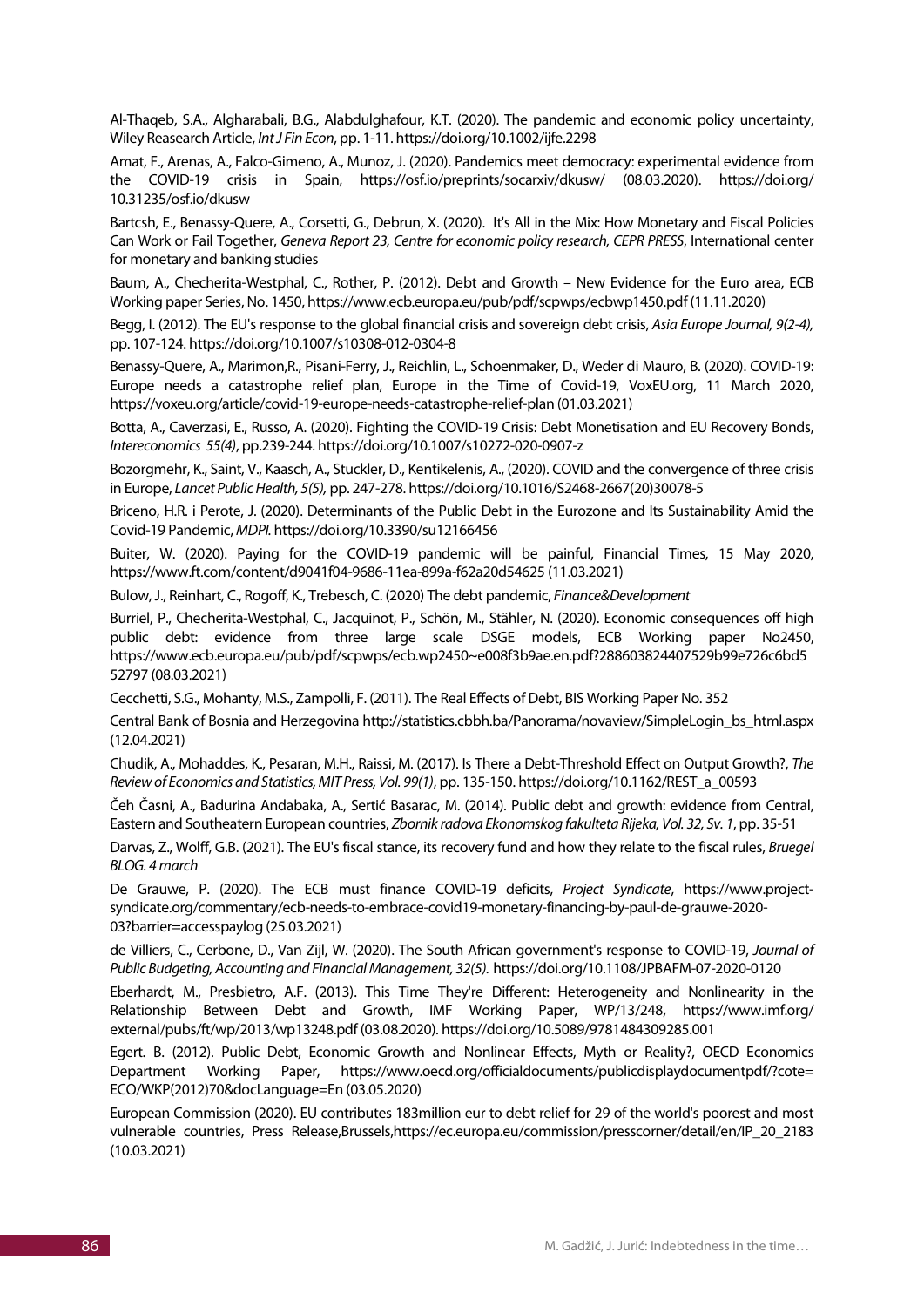Al-Thaqeb, S.A., Algharabali, B.G., Alabdulghafour, K.T. (2020). The pandemic and economic policy uncertainty, Wiley Reasearch Article, *Int J Fin Econ*, pp. 1-11. https://doi.org/10.1002/ijfe.2298

Amat, F., Arenas, A., Falco-Gimeno, A., Munoz, J. (2020). Pandemics meet democracy: experimental evidence from the COVID-19 crisis in Spain, https://osf.io/preprints/socarxiv/dkusw/ (08.03.2020). https://doi.org/ 10.31235/osf.io/dkusw

Bartcsh, E., Benassy-Quere, A., Corsetti, G., Debrun, X. (2020). It's All in the Mix: How Monetary and Fiscal Policies Can Work or Fail Together, *Geneva Report 23, Centre for economic policy research, CEPR PRESS*, International center for monetary and banking studies

Baum, A., Checherita-Westphal, C., Rother, P. (2012). Debt and Growth – New Evidence for the Euro area, ECB Working paper Series, No. 1450, https://www.ecb.europa.eu/pub/pdf/scpwps/ecbwp1450.pdf (11.11.2020)

Begg, I. (2012). The EU's response to the global financial crisis and sovereign debt crisis, *Asia Europe Journal, 9(2-4),* pp. 107-124. https://doi.org/10.1007/s10308-012-0304-8

Benassy-Quere, A., Marimon,R., Pisani-Ferry, J., Reichlin, L., Schoenmaker, D., Weder di Mauro, B. (2020). COVID-19: Europe needs a catastrophe relief plan, Europe in the Time of Covid-19, VoxEU.org, 11 March 2020, https://voxeu.org/article/covid-19-europe-needs-catastrophe-relief-plan (01.03.2021)

Botta, A., Caverzasi, E., Russo, A. (2020). Fighting the COVID-19 Crisis: Debt Monetisation and EU Recovery Bonds, *Intereconomics 55(4)*, pp.239-244. https://doi.org/10.1007/s10272-020-0907-z

Bozorgmehr, K., Saint, V., Kaasch, A., Stuckler, D., Kentikelenis, A., (2020). COVID and the convergence of three crisis in Europe, *Lancet Public Health, 5(5),* pp. 247-278. https://doi.org/10.1016/S2468-2667(20)30078-5

Briceno, H.R. i Perote, J. (2020). Determinants of the Public Debt in the Eurozone and Its Sustainability Amid the Covid-19 Pandemic, *MDPI.* https://doi.org/10.3390/su12166456

Buiter, W. (2020). Paying for the COVID-19 pandemic will be painful, Financial Times, 15 May 2020, https://www.ft.com/content/d9041f04-9686-11ea-899a-f62a20d54625 (11.03.2021)

Bulow, J., Reinhart, C., Rogoff, K., Trebesch, C. (2020) The debt pandemic, *Finance&Development*

Burriel, P., Checherita-Westphal, C., Jacquinot, P., Schön, M., Stähler, N. (2020). Economic consequences off high public debt: evidence from three large scale DSGE models, ECB Working paper No2450, https://www.ecb.europa.eu/pub/pdf/scpwps/ecb.wp2450~e008f3b9ae.en.pdf?288603824407529b99e726c6bd5 52797 (08.03.2021)

Cecchetti, S.G., Mohanty, M.S., Zampolli, F. (2011). The Real Effects of Debt, BIS Working Paper No. 352

Central Bank of Bosnia and Herzegovina http://statistics.cbbh.ba/Panorama/novaview/SimpleLogin\_bs\_html.aspx (12.04.2021)

Chudik, A., Mohaddes, K., Pesaran, M.H., Raissi, M. (2017). Is There a Debt-Threshold Effect on Output Growth?, *The Review of Economics and Statistics, MIT Press, Vol. 99(1)*, pp. 135-150. https://doi.org/10.1162/REST\_a\_00593

Čeh Časni, A., Badurina Andabaka, A., Sertić Basarac, M. (2014). Public debt and growth: evidence from Central, Eastern and Southeatern European countries, *Zbornik radova Ekonomskog fakulteta Rijeka, Vol. 32, Sv. 1*, pp. 35-51

Darvas, Z., Wolff, G.B. (2021). The EU's fiscal stance, its recovery fund and how they relate to the fiscal rules, *Bruegel BLOG. 4 march*

De Grauwe, P. (2020). The ECB must finance COVID-19 deficits, *Project Syndicate*, https://www.projectsyndicate.org/commentary/ecb-needs-to-embrace-covid19-monetary-financing-by-paul-de-grauwe-2020- 03?barrier=accesspaylog (25.03.2021)

de Villiers, C., Cerbone, D., Van Zijl, W. (2020). The South African government's response to COVID-19, *Journal of Public Budgeting, Accounting and Financial Management, 32(5).* https://doi.org/10.1108/JPBAFM-07-2020-0120

Eberhardt, M., Presbietro, A.F. (2013). This Time They're Different: Heterogeneity and Nonlinearity in the Relationship Between Debt and Growth, IMF Working Paper, WP/13/248, https://www.imf.org/ external/pubs/ft/wp/2013/wp13248.pdf (03.08.2020). https://doi.org/10.5089/9781484309285.001

Egert. B. (2012). Public Debt, Economic Growth and Nonlinear Effects, Myth or Reality?, OECD Economics Department Working Paper, https://www.oecd.org/officialdocuments/publicdisplaydocumentpdf/?cote= ECO/WKP(2012)70&docLanguage=En (03.05.2020)

European Commission (2020). EU contributes 183million eur to debt relief for 29 of the world's poorest and most vulnerable countries, Press Release,Brussels,https://ec.europa.eu/commission/presscorner/detail/en/IP\_20\_2183 (10.03.2021)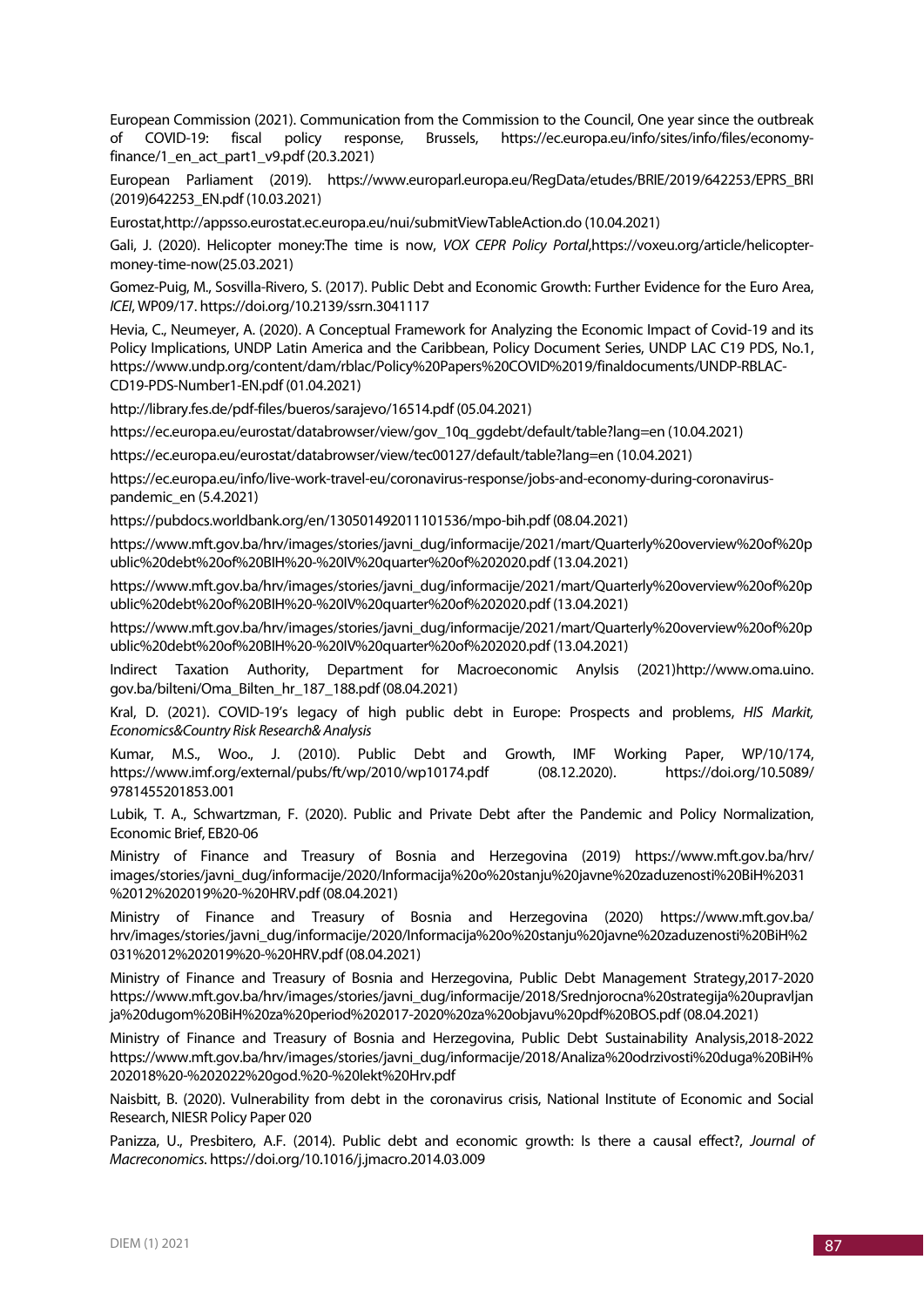European Commission (2021). Communication from the Commission to the Council, One year since the outbreak of COVID-19: fiscal policy response, Brussels, https://ec.europa.eu/info/sites/info/files/economyfinance/1 en act part1  $v9.pdf$  (20.3.2021)

European Parliament (2019). https://www.europarl.europa.eu/RegData/etudes/BRIE/2019/642253/EPRS\_BRI (2019)642253\_EN.pdf (10.03.2021)

Eurostat,http://appsso.eurostat.ec.europa.eu/nui/submitViewTableAction.do (10.04.2021)

Gali, J. (2020). Helicopter money:The time is now, *VOX CEPR Policy Portal*,https://voxeu.org/article/helicoptermoney-time-now(25.03.2021)

Gomez-Puig, M., Sosvilla-Rivero, S. (2017). Public Debt and Economic Growth: Further Evidence for the Euro Area, *ICEI*, WP09/17. https://doi.org/10.2139/ssrn.3041117

Hevia, C., Neumeyer, A. (2020). A Conceptual Framework for Analyzing the Economic Impact of Covid-19 and its Policy Implications, UNDP Latin America and the Caribbean, Policy Document Series, UNDP LAC C19 PDS, No.1, https://www.undp.org/content/dam/rblac/Policy%20Papers%20COVID%2019/finaldocuments/UNDP-RBLAC-CD19-PDS-Number1-EN.pdf (01.04.2021)

http://library.fes.de/pdf-files/bueros/sarajevo/16514.pdf (05.04.2021)

https://ec.europa.eu/eurostat/databrowser/view/gov\_10q\_ggdebt/default/table?lang=en (10.04.2021)

https://ec.europa.eu/eurostat/databrowser/view/tec00127/default/table?lang=en (10.04.2021)

https://ec.europa.eu/info/live-work-travel-eu/coronavirus-response/jobs-and-economy-during-coronaviruspandemic\_en (5.4.2021)

https://pubdocs.worldbank.org/en/130501492011101536/mpo-bih.pdf (08.04.2021)

https://www.mft.gov.ba/hrv/images/stories/javni\_dug/informacije/2021/mart/Quarterly%20overview%20of%20p ublic%20debt%20of%20BIH%20-%20IV%20quarter%20of%202020.pdf (13.04.2021)

https://www.mft.gov.ba/hrv/images/stories/javni\_dug/informacije/2021/mart/Quarterly%20overview%20of%20p ublic%20debt%20of%20BIH%20-%20IV%20quarter%20of%202020.pdf (13.04.2021)

https://www.mft.gov.ba/hrv/images/stories/javni\_dug/informacije/2021/mart/Quarterly%20overview%20of%20p ublic%20debt%20of%20BIH%20-%20IV%20quarter%20of%202020.pdf (13.04.2021)

Indirect Taxation Authority, Department for Macroeconomic Anylsis (2021)http://www.oma.uino. gov.ba/bilteni/Oma\_Bilten\_hr\_187\_188.pdf (08.04.2021)

Kral, D. (2021). COVID-19's legacy of high public debt in Europe: Prospects and problems, *HIS Markit, Economics&Country Risk Research& Analysis*

Kumar, M.S., Woo., J. (2010). Public Debt and Growth, IMF Working Paper, WP/10/174, https://www.imf.org/external/pubs/ft/wp/2010/wp10174.pdf (08.12.2020). https://doi.org/10.5089/ 9781455201853.001

Lubik, T. A., Schwartzman, F. (2020). Public and Private Debt after the Pandemic and Policy Normalization, Economic Brief, EB20-06

Ministry of Finance and Treasury of Bosnia and Herzegovina (2019) https://www.mft.gov.ba/hrv/ images/stories/javni\_dug/informacije/2020/Informacija%20o%20stanju%20javne%20zaduzenosti%20BiH%2031 %2012%202019%20-%20HRV.pdf (08.04.2021)

Ministry of Finance and Treasury of Bosnia and Herzegovina (2020) https://www.mft.gov.ba/ hrv/images/stories/javni\_dug/informacije/2020/Informacija%20o%20stanju%20javne%20zaduzenosti%20BiH%2 031%2012%202019%20-%20HRV.pdf (08.04.2021)

Ministry of Finance and Treasury of Bosnia and Herzegovina, Public Debt Management Strategy,2017-2020 https://www.mft.gov.ba/hrv/images/stories/javni\_dug/informacije/2018/Srednjorocna%20strategija%20upravljan ja%20dugom%20BiH%20za%20period%202017-2020%20za%20objavu%20pdf%20BOS.pdf (08.04.2021)

Ministry of Finance and Treasury of Bosnia and Herzegovina, Public Debt Sustainability Analysis,2018-2022 https://www.mft.gov.ba/hrv/images/stories/javni\_dug/informacije/2018/Analiza%20odrzivosti%20duga%20BiH% 202018%20-%202022%20god.%20-%20lekt%20Hrv.pdf

Naisbitt, B. (2020). Vulnerability from debt in the coronavirus crisis, National Institute of Economic and Social Research, NIESR Policy Paper 020

Panizza, U., Presbitero, A.F. (2014). Public debt and economic growth: Is there a causal effect?, *Journal of Macreconomics*. https://doi.org/10.1016/j.jmacro.2014.03.009